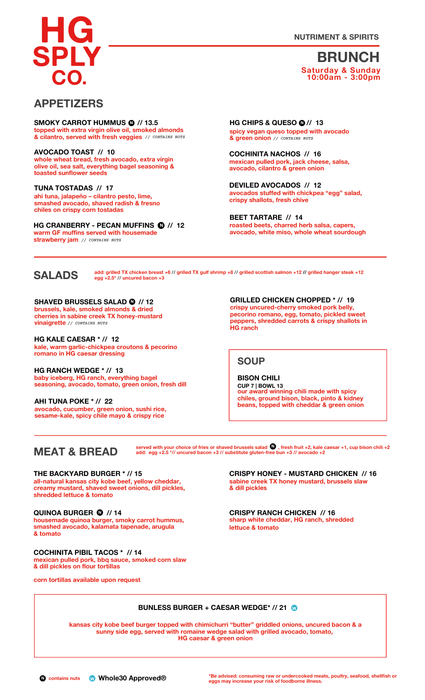**NUTRIMENT & SPIRITS**



### **BRUNCH Saturday & Sunday 10:00am - 3:00pm**

### **APPETIZERS**

**topped with extra virgin olive oil, smoked almonds & cilantro, served with fresh veggies** *// CONTAINS NUTS* **SMOKY CARROT HUMMUS <sup>N</sup> // 13.5 • N**

**whole wheat bread, fresh avocado, extra virgin olive oil, sea salt, everything bagel seasoning & toasted sunflower seeds AVOCADO TOAST // 10**

**ahi tuna, jalapeño – cilantro pesto, lime, smashed avocado, shaved radish & fresno chiles on crispy corn tostadas TUNA TOSTADAS // 17**

**• N HG CRANBERRY - PECAN MUFFINS // 12 warm GF muffins served with housemade strawberry jam** *// CONTAINS NUTS*

**0** //<br>**ped** *<b>* **N HG CHIPS & QUESO // 13 spicy vegan queso topped with avocado & green onion** *// CONTAINS NUTS*

**mexican pulled pork, jack cheese, salsa, avocado, cilantro & green onion COCHINITA NACHOS // 16**

**avocados stuffed with chickpea "egg" salad, crispy shallots, fresh chive DEVILED AVOCADOS // 12**

**roasted beets, charred herb salsa, capers, avocado, white miso, whole wheat sourdough BEET TARTARE // 14**

# **SALADS**

add: grilled TX chicken breast +6 // grilled TX gulf shrimp +8 // grilled scottish salmon +12 // grilled hanger steak +12<br>egg +2.5\* // uncured bacon +3

**N SHAVED BRUSSELS SALAD // 12 brussels, kale, smoked almonds & dried cherries in sabine creek TX honey-mustard vinaigrette** *// CONTAINS NUTS*

**kale, warm garlic-chickpea croutons & pecorino romano in HG caesar dressing HG KALE CAESAR \* // 12**

**baby iceberg, HG ranch, everything bagel seasoning, avocado, tomato, green onion, fresh dill HG RANCH WEDGE \* // 13**

**avocado, cucumber, green onion, sushi rice, sesame-kale, spicy chile mayo & crispy rice AHI TUNA POKE \* // 22**

**c**<br> **GRILLED** CHICKEN CHOPPED \* // 19<br> **GRILLED** CHICKEN CHOPPED \* // 19<br> **GRILLED** CHICKEN CHOPPED \* // 19 **pecorino romano, egg, tomato, pickled sweet peppers, shredded carrots & crispy shallots in HG ranch**

### **SOUP**

**our award winning chili made with spicy chiles, ground bison, black, pinto & kidney beans, topped with cheddar & green onion BISON CHILI CUP 7 | BOWL 13**

## **MEAT & BREAD**

served with your choice of fries or shaved brussels salad  $\bigcup$  , fresh fruit +2, kale caesar +1, cup bison chili +2 **add: egg +2.5 \*// uncured bacon +3 // substitute gluten-fr•ee bun +3 // avocado +2 N**

**all-natural kansas city kobe beef, yellow cheddar, creamy mustard, shaved sweet onions, dill pickles, shredded lettuce & tomato THE BACKYARD BURGER \* // 15**

#### **• N QUINOA BURGER // 14**

**housemade quinoa burger, smoky carrot hummus, smashed avocado, kalamata tapenade, arugula & tomato**

**mexican pulled pork, bbq sauce, smoked corn slaw & dill pickles on flour tortillas COCHINITA PIBIL TACOS \* // 14**

**corn tortillas available upon request**

**sabine creek TX honey mustard, brussels slaw & dill pickles CRISPY HONEY - MUSTARD CHICKEN // 16**

**sharp white cheddar, HG ranch, shredded lettuce & tomato CRISPY RANCH CHICKEN // 16**

# **BUNLESS BURGER + CAESAR WEDGE\* // 21 •W**

**kansas city kobe beef burger topped with chimichurri "butter" griddled onions, uncured bacon & a sunny side egg, served with romaine wedge salad with grilled avocado, tomato, HG caesar & green onion**